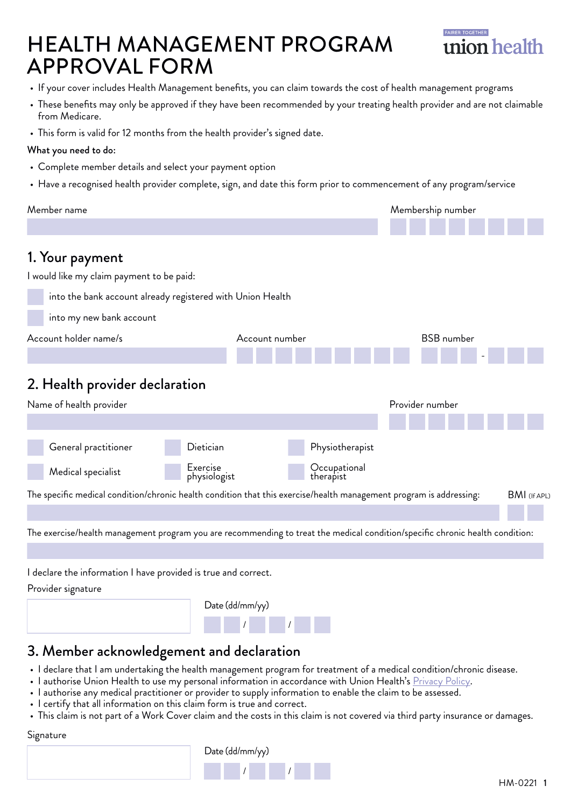## HEALTH MANAGEMENT PROGRAM APPROVAL FORM



- If your cover includes Health Management benefits, you can claim towards the cost of health management programs
- These benefits may only be approved if they have been recommended by your treating health provider and are not claimable from Medicare.
- This form is valid for 12 months from the health provider's signed date.

#### What you need to do:

- Complete member details and select your payment option
- Have a recognised health provider complete, sign, and date this form prior to commencement of any program/service

| Member name                                                                                                                   |                           | Membership number   |
|-------------------------------------------------------------------------------------------------------------------------------|---------------------------|---------------------|
|                                                                                                                               |                           |                     |
| 1. Your payment                                                                                                               |                           |                     |
| I would like my claim payment to be paid:                                                                                     |                           |                     |
| into the bank account already registered with Union Health                                                                    |                           |                     |
| into my new bank account                                                                                                      |                           |                     |
| Account holder name/s                                                                                                         | Account number            | <b>BSB</b> number   |
|                                                                                                                               |                           |                     |
| 2. Health provider declaration                                                                                                |                           |                     |
| Name of health provider                                                                                                       |                           | Provider number     |
|                                                                                                                               |                           |                     |
| Dietician<br>General practitioner                                                                                             | Physiotherapist           |                     |
| Exercise<br>Medical specialist<br>physiologist                                                                                | Occupational<br>therapist |                     |
| The specific medical condition/chronic health condition that this exercise/health management program is addressing:           |                           | <b>BMI</b> (If APL) |
|                                                                                                                               |                           |                     |
| The exercise/health management program you are recommending to treat the medical condition/specific chronic health condition: |                           |                     |
|                                                                                                                               |                           |                     |
| I declare the information I have provided is true and correct.                                                                |                           |                     |
| Provider signature                                                                                                            |                           |                     |
|                                                                                                                               | Date (dd/mm/yy)           |                     |
|                                                                                                                               |                           |                     |
| 3. Member acknowledgement and declaration                                                                                     |                           |                     |

- I declare that I am undertaking the health management program for treatment of a medical condition/chronic disease.
- I authorise Union Health to use my personal information in accordance with Union Health's [Privacy Policy](https://unionhealth.com.au/legal/privacy-and-fraud-statement/).
- I authorise any medical practitioner or provider to supply information to enable the claim to be assessed.
- I certify that all information on this claim form is true and correct.
- This claim is not part of a Work Cover claim and the costs in this claim is not covered via third party insurance or damages.

#### Signature